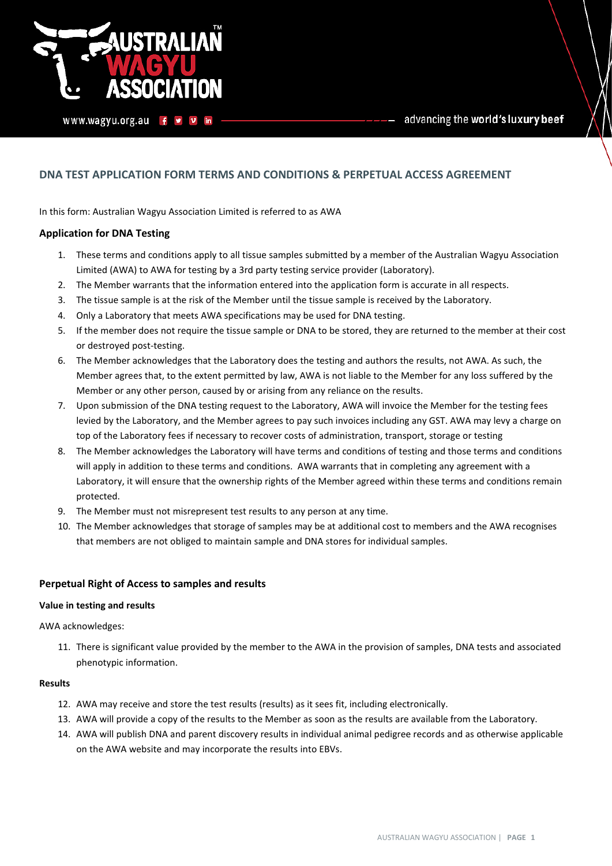

advancing the world's luxury beef

# **DNA TEST APPLICATION FORM TERMS AND CONDITIONS & PERPETUAL ACCESS AGREEMENT**

In this form: Australian Wagyu Association Limited is referred to as AWA

### **Application for DNA Testing**

- 1. These terms and conditions apply to all tissue samples submitted by a member of the Australian Wagyu Association Limited (AWA) to AWA for testing by a 3rd party testing service provider (Laboratory).
- 2. The Member warrants that the information entered into the application form is accurate in all respects.
- 3. The tissue sample is at the risk of the Member until the tissue sample is received by the Laboratory.
- 4. Only a Laboratory that meets AWA specifications may be used for DNA testing.
- 5. If the member does not require the tissue sample or DNA to be stored, they are returned to the member at their cost or destroyed post-testing.
- 6. The Member acknowledges that the Laboratory does the testing and authors the results, not AWA. As such, the Member agrees that, to the extent permitted by law, AWA is not liable to the Member for any loss suffered by the Member or any other person, caused by or arising from any reliance on the results.
- 7. Upon submission of the DNA testing request to the Laboratory, AWA will invoice the Member for the testing fees levied by the Laboratory, and the Member agrees to pay such invoices including any GST. AWA may levy a charge on top of the Laboratory fees if necessary to recover costs of administration, transport, storage or testing
- 8. The Member acknowledges the Laboratory will have terms and conditions of testing and those terms and conditions will apply in addition to these terms and conditions. AWA warrants that in completing any agreement with a Laboratory, it will ensure that the ownership rights of the Member agreed within these terms and conditions remain protected.
- 9. The Member must not misrepresent test results to any person at any time.
- 10. The Member acknowledges that storage of samples may be at additional cost to members and the AWA recognises that members are not obliged to maintain sample and DNA stores for individual samples.

### **Perpetual Right of Access to samples and results**

#### **Value in testing and results**

AWA acknowledges:

11. There is significant value provided by the member to the AWA in the provision of samples, DNA tests and associated phenotypic information.

#### **Results**

- 12. AWA may receive and store the test results (results) as it sees fit, including electronically.
- 13. AWA will provide a copy of the results to the Member as soon as the results are available from the Laboratory.
- 14. AWA will publish DNA and parent discovery results in individual animal pedigree records and as otherwise applicable on the AWA website and may incorporate the results into EBVs.